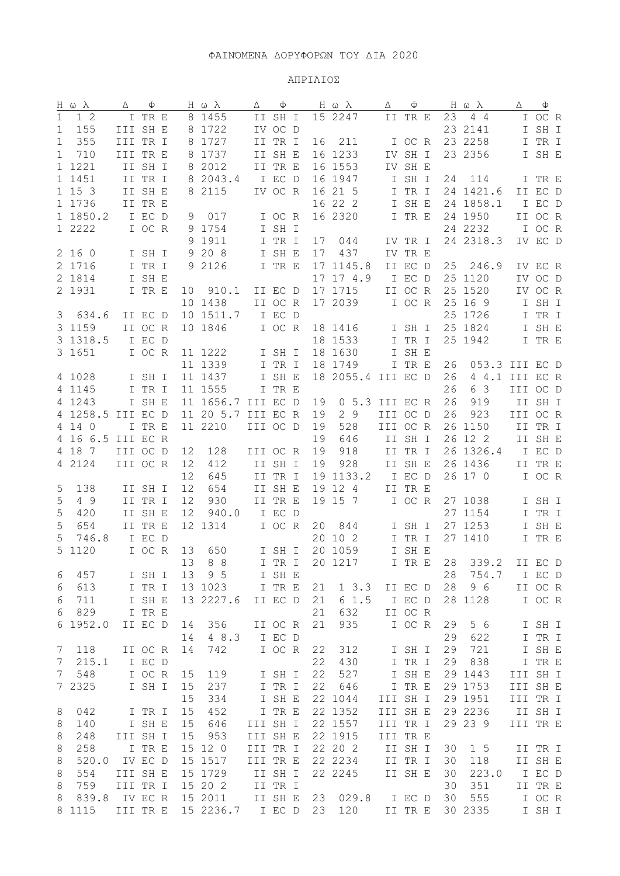## ΑΠΡΙΛΙΟΣ

| Η ω λ       |                 | Δ        | Φ       |    | Η ω $λ$              | Δ        | Φ       |    | Η ω λ              | Δ        | Ф                 |    | Ηωλ            | Δ           | Ф                          |  |
|-------------|-----------------|----------|---------|----|----------------------|----------|---------|----|--------------------|----------|-------------------|----|----------------|-------------|----------------------------|--|
| 1           | 12              |          | I TR E  |    | 8 1455               |          | II SH I |    | 15 2247            |          | II TR E           | 23 | $4\quad4$      |             | I OC R                     |  |
| $\mathbf 1$ | 155             | III SH E |         |    | 8 1722               |          | IV OC D |    |                    |          |                   |    | 23 2141        |             | I SH I                     |  |
| 1           | 355             | III TR I |         |    | 8 1727               |          | II TR I | 16 | 211                |          | I OC R            |    | 23 2258        |             | I TR I                     |  |
| 1           | 710             | III TR E |         |    | 8 1737               |          | II SH E |    | 16 1233            |          | IV SH I           |    | 23 2356        |             | I SH E                     |  |
|             | 1 1221          |          | II SH I |    | 8 2012               |          | II TR E |    | 16 1553            |          | IV SH E           |    |                |             |                            |  |
|             | 1 1451          |          | II TR I |    | 8 2043.4             |          | I EC D  |    | 16 1947            |          | I SH I            | 24 | 114            |             | I TR E                     |  |
|             |                 |          |         |    |                      |          |         |    |                    |          |                   |    |                |             |                            |  |
|             | 1 15 3          |          | II SH E |    | 8 2115               |          | IV OC R |    | 16 21 5            |          | I TR I            |    | 24 1421.6      |             | II EC D                    |  |
|             | 1 1736          |          | II TR E |    |                      |          |         |    | 16 22 2            |          | I SH E            |    | 24 1858.1      |             | I EC D                     |  |
|             | 1 1850.2        |          | I EC D  | 9  | 017                  |          | I OC R  |    | 16 2320            |          | I TR E            |    | 24 1950        |             | II OC R                    |  |
|             | 1 2222          |          | I OC R  |    | 9 1754               |          | I SH I  |    |                    |          |                   |    | 24 2232        |             | I OC R                     |  |
|             |                 |          |         |    | 9 1911               |          | I TR I  | 17 | 044                |          | IV TR I           |    | 24 2318.3      |             | IV EC D                    |  |
|             | 2 16 0          |          | I SH I  |    | 9 20 8               |          | I SH E  | 17 | 437                |          | IV TR E           |    |                |             |                            |  |
|             | 2 1716          |          | I TR I  |    | 9 2126               |          | I TR E  |    | 17 1145.8          |          | II EC D           | 25 | 246.9          |             | IV EC R                    |  |
|             | 2 1814          |          | I SH E  |    |                      |          |         |    | 17 17 4.9          |          | I EC D            |    | 25 1120        |             | IV OC D                    |  |
|             | 2 1931          |          | I TR E  | 10 | 910.1                |          | II EC D |    | 17 1715            |          | II OC R           |    | 25 1520        |             | IV OC R                    |  |
|             |                 |          |         |    | 10 1438              |          | II OC R |    | 17 2039            |          | I OC R            |    | 25 16 9        |             | I SH I                     |  |
| 3           | 634.6           |          | II EC D |    | 10 1511.7            |          | I EC D  |    |                    |          |                   |    | 25 1726        |             | I TR I                     |  |
|             | 3 1159          |          | II OC R |    | 10 1846              |          | I OC R  |    | 18 1416            |          | I SH I            |    | 25 1824        |             | $\mathbb I$ SH $\mathbb E$ |  |
|             |                 |          |         |    |                      |          |         |    |                    |          |                   |    |                |             |                            |  |
|             | 3 1318.5        |          | I EC D  |    |                      |          |         |    | 18 1533            |          | I TR I            |    | 25 1942        |             | I TR E                     |  |
|             | 3 1651          |          | I OC R  |    | 11 1222              |          | I SH I  |    | 18 1630            |          | I SH E            |    |                |             |                            |  |
|             |                 |          |         |    | 11 1339              |          | I TR I  |    | 18 1749            |          | I TR E            | 26 | 053.3 III EC D |             |                            |  |
|             | 4 1028          |          | I SH I  |    | 11 1437              |          | I SH E  |    | 18 2055.4          | III EC D |                   | 26 | 4 4.1 III EC R |             |                            |  |
|             | 4 1145          |          | I TR I  |    | 11 1555              |          | I TR E  |    |                    |          |                   | 26 | 6 3            | III OC D    |                            |  |
|             | 4 1243          |          | I SH E  |    | 11 1656.7            | III EC D |         | 19 | 0 5.3 III EC R     |          |                   | 26 | 919            |             | II SH I                    |  |
|             | 4 1258.5        | III EC D |         |    | 11 20 5.7            | III EC R |         | 19 | 29                 | III OC D |                   | 26 | 923            | III OC R    |                            |  |
|             | 4 14 0          |          | I TR E  |    | 11 2210              | III OC D |         | 19 | 528                | III OC R |                   |    | 26 1150        |             | II TR I                    |  |
|             | 4 16 6.5        | III EC R |         |    |                      |          |         | 19 | 646                |          | II SH I           |    | 26 12 2        |             | II SH E                    |  |
|             | 4 18 7          | III OC D |         | 12 | 128                  | III OC R |         | 19 | 918                |          | II TR I           |    | 26 1326.4      |             | I EC D                     |  |
|             | 4 2124          | III OC R |         | 12 | 412                  |          | II SH I | 19 | 928                |          | II SH E           |    | 26 1436        |             | II TR E                    |  |
|             |                 |          |         | 12 | 645                  |          | II TR I |    | 19 1133.2          |          | I EC D            |    | 26 17 0        |             | I OC R                     |  |
|             |                 |          |         | 12 |                      |          |         |    |                    |          |                   |    |                |             |                            |  |
| 5           | 138             |          | II SH I |    | 654                  |          | II SH E |    | 19 12 4            |          | II TR E           |    |                |             |                            |  |
| 5           | 4 9             |          | II TR I | 12 | 930                  |          | II TR E |    | 19 15 7            |          | I OC R            |    | 27 1038        |             | I SH I                     |  |
| 5           | 420             |          | II SH E | 12 | 940.0                |          | I EC D  |    |                    |          |                   |    | 27 1154        |             | I TR I                     |  |
| 5           | 654             |          | II TR E |    | 12 1314              |          | I OC R  | 20 | 844                |          | I SH I            |    | 27 1253        |             | I SH E                     |  |
| 5           | 746.8           |          | I EC D  |    |                      |          |         |    | 20 10 2            |          | I TR I            |    | 27 1410        |             | I TR E                     |  |
| 5           | 1120            |          | I OC R  | 13 | 650                  |          | I SH I  |    | 20 1059            |          | I SH E            |    |                |             |                            |  |
|             |                 |          |         |    | 13 8 8               |          | I TR I  |    | 20 1217            |          | I TR E            |    | 28 339.2       |             | II EC D                    |  |
| 6           | 457             |          | I SH I  | 13 | 9 5                  |          | I SH E  |    |                    |          |                   | 28 | 754.7          |             | I EC D                     |  |
| 6           | 613             |          | I TR I  |    | 13 1023              |          | I TR E  | 21 | $1 \t3.3$          |          | II EC D           | 28 | 9 6            |             | II OC R                    |  |
| 6           | 711             |          | I SH E  |    | 13 2227.6            |          | II EC D | 21 | 61.5               |          | I EC D            |    | 28 1128        |             | I OC R                     |  |
| 6           | 829             |          | I TR E  |    |                      |          |         | 21 | 632                |          | II OC R           |    |                |             |                            |  |
| 6           | 1952.0          |          | II EC D | 14 | 356                  |          | II OC R | 21 | 935                |          | I OC R            | 29 | 5 6            |             | I SH I                     |  |
|             |                 |          |         | 14 | 4 8.3                |          | I EC D  |    |                    |          |                   | 29 | 622            | $\mathbf I$ | TR I                       |  |
|             |                 |          |         |    |                      |          |         |    |                    |          |                   |    |                |             |                            |  |
| 7           | 118             |          | II OC R | 14 | 742                  |          | I OC R  | 22 | 312                |          | I SH I            | 29 | 721            |             | I SH E                     |  |
| 7           | 215.1           |          | I EC D  |    |                      |          |         | 22 | 430                |          | I TR I            | 29 | 838            |             | I TR E                     |  |
| 7           | 548             |          | I OC R  | 15 | 119                  |          | I SH I  | 22 | 527                |          | I SH E            |    | 29 1443        | III SH I    |                            |  |
|             | 7 2325          |          | I SH I  | 15 | 237                  |          | I TR I  | 22 | 646                |          | I TR E            |    | 29 1753        | III SH E    |                            |  |
|             |                 |          |         | 15 | 334                  |          | I SH E  |    | 22 1044            | III SH I |                   |    | 29 1951        | III TR I    |                            |  |
| 8           | 042             |          | I TR I  | 15 | 452                  |          | I TR E  |    | 22 1352            | III SH E |                   |    | 29 2236        |             | II SH I                    |  |
| 8           | 140             |          | I SH E  | 15 | 646                  | III SH I |         |    | 22 1557            | III TR I |                   |    | 29 23 9        | III TR E    |                            |  |
| 8           | 248             | III SH I |         | 15 | 953                  | III SH E |         |    | 22 1915            | III TR E |                   |    |                |             |                            |  |
| 8           | 258             |          | I TR E  | 15 | 12 0                 | III TR I |         |    | 22 20 2            |          | II SH I           | 30 | 1 <sub>5</sub> |             | II TR I                    |  |
| 8           | 520.0           |          | IV EC D | 15 | 1517                 | III TR E |         |    | 22 2234            |          | II TR I           | 30 | 118            |             | II SH E                    |  |
| 8           | 554             | III SH E |         |    | 15 1729              |          | II SH I |    | 22 2245            |          | II SH E           | 30 | 223.0          |             | I EC D                     |  |
|             |                 |          |         |    | 15 20 2              |          | II TR I |    |                    |          |                   | 30 | 351            |             |                            |  |
| 8           | 759             | III TR I |         |    |                      |          |         |    |                    |          |                   |    |                |             | II TR E                    |  |
| 8           | 839.8<br>8 1115 | III TR E | IV EC R |    | 15 2011<br>15 2236.7 | I EC D   | II SH E |    | 23 029.8<br>23 120 |          | I EC D<br>II TR E | 30 | 555<br>30 2335 |             | I OC R<br>I SH I           |  |
|             |                 |          |         |    |                      |          |         |    |                    |          |                   |    |                |             |                            |  |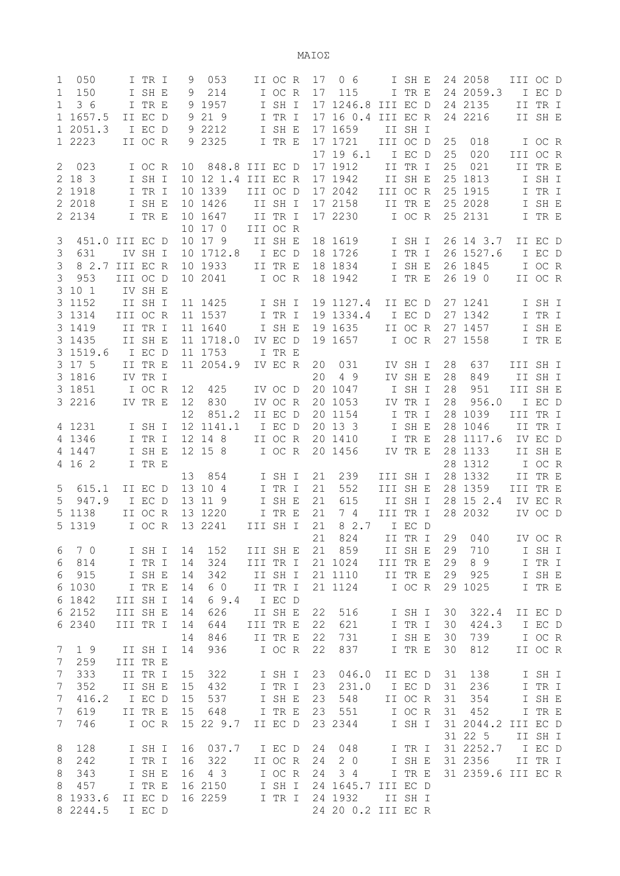ΜΑΙΟΣ

| 1<br>$\mathbf 1$<br>$\mathbf{1}$<br>$\mathbf{1}$ | 050<br>150<br>36<br>1 1657.5<br>2051.3 |          | I TR I<br>I SH E<br>I TR E<br>II EC D<br>I EC D | 9<br>9<br>9 | 053<br>214<br>9 1957<br>21 9<br>9 2212 |          | II OC R<br>I OC R<br>I SH I<br>I TR I<br>I SH E | 17<br>17 | 0 <sub>6</sub><br>115<br>17 1246.8<br>17 16 0.4<br>17 1659 | III EC D<br>III EC R | I SH E<br>I TR E<br>II SH I                |                | 24 2058<br>24 2059.3<br>24 2135<br>24 2216 | III OC D | I EC D<br>II TR I<br>II SH E |  |
|--------------------------------------------------|----------------------------------------|----------|-------------------------------------------------|-------------|----------------------------------------|----------|-------------------------------------------------|----------|------------------------------------------------------------|----------------------|--------------------------------------------|----------------|--------------------------------------------|----------|------------------------------|--|
| 2                                                | 1 2223<br>023                          |          | II OC R<br>I OC R                               | 10          | 9 2325<br>848.8                        | III EC D | I TR E                                          |          | 17 1721<br>17 19 6.1<br>17 1912                            | III OC D             | I EC D<br>II TR I                          | 25<br>25<br>25 | 018<br>020<br>021                          | III OC R | I OC R<br>II TR E            |  |
|                                                  | 2 18 3                                 |          | I SH I                                          |             | 10 12 1.4 III EC R                     |          |                                                 |          | 17 1942                                                    |                      | II SH E                                    |                | 25 1813                                    |          | I SH I                       |  |
|                                                  | 2 1918                                 |          | I TR I                                          |             | 10 1339                                | III OC D |                                                 |          | 17 2042                                                    | III OC R             |                                            |                | 25 1915                                    | Ι        | TR I                         |  |
|                                                  | 2 2018                                 |          | I SH E                                          |             | 10 1426                                |          | II SH I                                         |          | 17 2158                                                    |                      | II TR E                                    |                | 25 2028                                    |          | I SH E                       |  |
|                                                  | 2 2134                                 |          | I TR E                                          |             | 10 1647                                |          | II TR I                                         |          | 17 2230                                                    |                      | I OC R                                     |                | 25 2131                                    |          | I TR E                       |  |
|                                                  |                                        |          |                                                 |             | 10 17 0                                | III OC R |                                                 |          |                                                            |                      |                                            |                |                                            |          |                              |  |
| 3<br>3                                           | 451.0<br>631                           | III EC D | IV SH I                                         |             | 10 17 9<br>10 1712.8                   |          | II SH E<br>I EC D                               |          | 18 1619<br>18 1726                                         |                      | I SH I<br>$\mbox{\bf I}$ TR $\mbox{\bf I}$ |                | 26 14 3.7<br>26 1527.6                     |          | II EC D<br>I EC D            |  |
| 3                                                | 8 2.7                                  | III EC R |                                                 |             | 10 1933                                |          | II TR E                                         |          | 18 1834                                                    |                      | $I$ SH $\,$ E                              |                | 26 1845                                    |          | I OC R                       |  |
| 3                                                | 953                                    | III OC D |                                                 |             | 10 2041                                |          | I OC R                                          |          | 18 1942                                                    |                      | I TR E                                     |                | 26 19 0                                    |          | II OC R                      |  |
|                                                  | 3 10 1                                 |          | IV SH E                                         |             |                                        |          |                                                 |          |                                                            |                      |                                            |                |                                            |          |                              |  |
|                                                  | 3 1152                                 |          | II SH I                                         |             | 11 1425                                |          | I SH I                                          |          | 19 1127.4                                                  |                      | II EC D                                    |                | 27 1241                                    |          | I SH I                       |  |
|                                                  | 3 1314                                 | III OC R |                                                 |             | 11 1537                                |          | I TR I                                          |          | 19 1334.4                                                  |                      | I EC D                                     |                | 27 1342                                    |          | I TR I                       |  |
|                                                  | 3 1419                                 |          | II TR I                                         |             | 11 1640                                |          | I SH E                                          |          | 19 1635                                                    |                      | II OC R                                    |                | 27 1457                                    |          | I SH E                       |  |
|                                                  | 3 1435<br>3 1519.6                     |          | II SH E<br>I EC D                               |             | 11 1718.0<br>11 1753                   |          | IV EC D<br>I TR E                               |          | 19 1657                                                    |                      | I OC R                                     |                | 27 1558                                    |          | I TR E                       |  |
|                                                  | 3 17 5                                 |          | II TR E                                         |             | 11 2054.9                              |          | IV EC R                                         | 20       | 031                                                        |                      | IV SH I                                    | 28             | 637                                        | III SH I |                              |  |
|                                                  | 3 1816                                 |          | IV TR I                                         |             |                                        |          |                                                 | 20       | 4 9                                                        |                      | IV SH E                                    | 28             | 849                                        |          | II SH I                      |  |
|                                                  | 3 1851                                 |          | I OC R                                          | 12          | 425                                    |          | IV OC D                                         |          | 20 1047                                                    |                      | I SH I                                     | 28             | 951                                        | III SH E |                              |  |
|                                                  | 3 2216                                 |          | IV TR E                                         | 12          | 830                                    |          | IV OC R                                         |          | 20 1053                                                    |                      | IV TR I                                    | 28             | 956.0                                      |          | I EC D                       |  |
|                                                  |                                        |          |                                                 | 12          | 851.2                                  |          | II EC D                                         |          | 20 1154                                                    |                      | I TR I                                     |                | 28 1039                                    | III TR I |                              |  |
|                                                  | 4 1231                                 |          | I SH I                                          |             | 12 1141.1                              |          | I EC D                                          |          | 20 13 3                                                    |                      | I SH E                                     |                | 28 1046                                    |          | II TR I                      |  |
|                                                  | 4 1346<br>4 1447                       |          | I TR I<br>I SH E                                |             | 12 14 8<br>12 15 8                     |          | II OC R<br>I OC R                               |          | 20 1410<br>20 1456                                         |                      | I TR E<br>IV TR E                          |                | 28 1117.6<br>28 1133                       |          | IV EC D<br>II SH E           |  |
|                                                  | 4 16 2                                 |          | I TR E                                          |             |                                        |          |                                                 |          |                                                            |                      |                                            |                | 28 1312                                    |          | I OC R                       |  |
|                                                  |                                        |          |                                                 | 13          | 854                                    |          | I SH I                                          | 21       | 239                                                        | III SH I             |                                            |                | 28 1332                                    |          | II TR E                      |  |
| 5                                                | 615.1                                  |          | II EC D                                         | 13          | 104                                    |          | I TR I                                          | 21       | 552                                                        | III SH E             |                                            |                | 28 1359                                    | III TR E |                              |  |
| 5                                                | 947.9                                  |          | I EC D                                          |             | 13 11 9                                |          | I SH E                                          | 21       | 615                                                        |                      | II SH I                                    |                | 28 15 2.4                                  |          | IV EC R                      |  |
|                                                  | 5 1138                                 |          | II OC R                                         |             | 13 1220                                |          | I TR E                                          | 21       | 7 4                                                        | III TR I             |                                            |                | 28 2032                                    |          | IV OC D                      |  |
|                                                  | 5 1319                                 |          | I OC R                                          |             | 13 2241                                | III SH I |                                                 | 21<br>21 | 8 2.7                                                      |                      | I EC D                                     |                |                                            |          |                              |  |
| 6                                                | 7 0                                    |          | I SH I                                          | 14          | 152                                    | III SH E |                                                 | 21       | 824<br>859                                                 |                      | II TR I<br>II SH E                         | 29             | 29 040<br>710                              |          | IV OC R<br>I SH I            |  |
| 6                                                | 814                                    |          | I TR I                                          | 14          | 324                                    | III TR I |                                                 |          | 21 1024                                                    | III TR E             |                                            | 29             | 89                                         |          | I TR I                       |  |
| 6                                                | 915                                    |          | I SH E                                          | 14          | 342                                    |          | II SH I                                         |          | 21 1110                                                    |                      | II TR E                                    |                | 29 925                                     |          | I SH E                       |  |
|                                                  | 6 1030                                 |          | I TR E                                          | 14          | 6 0                                    |          | II TR I                                         |          | 21 1124                                                    |                      | I OC R                                     |                | 29 1025                                    |          | I TR E                       |  |
|                                                  | 6 1842                                 | III SH I |                                                 | 14          | 69.4                                   |          | I EC D                                          |          |                                                            |                      |                                            |                |                                            |          |                              |  |
|                                                  | 6 2152                                 | III SH E |                                                 | 14          | 626                                    |          | II SH E                                         | 22       | 516                                                        |                      | I SH I                                     | 30             | 322.4                                      |          | II EC D                      |  |
|                                                  | 6 2340                                 | III TR I |                                                 | 14<br>14    | 644<br>846                             | III TR E | II TR E                                         | 22<br>22 | 621<br>731                                                 |                      | I TR I<br>I SH E                           | 30<br>30       | 424.3<br>739                               |          | I EC D<br>I OC R             |  |
| 7                                                | 19                                     |          | II SH I                                         | 14          | 936                                    |          | I OC R                                          | 22       | 837                                                        |                      | I TR E                                     | 30             | 812                                        |          | II OC R                      |  |
| 7                                                | 259                                    | III TR E |                                                 |             |                                        |          |                                                 |          |                                                            |                      |                                            |                |                                            |          |                              |  |
| 7                                                | 333                                    |          | II TR I                                         | 15          | 322                                    |          | I SH I                                          | 23       | 046.0                                                      |                      | II EC D                                    | 31             | 138                                        |          | I SH I                       |  |
| 7                                                | 352                                    |          | II SH E                                         | 15          | 432                                    |          | I TR I                                          | 23       | 231.0                                                      |                      | I EC D                                     | 31             | 236                                        |          | I TR I                       |  |
| 7                                                | 416.2                                  |          | I EC D                                          | 15          | 537                                    |          | I SH E                                          | 23       | 548                                                        |                      | II OC R                                    | 31             | 354                                        |          | I SH E                       |  |
| 7                                                | 619                                    |          | II TR E                                         | 15          | 648                                    |          | I TR E                                          | 23       | 551                                                        |                      | I OC R                                     | 31             | 452                                        |          | I TR E                       |  |
| 7                                                | 746                                    |          | I OC R                                          |             | 15 22 9.7                              |          | II EC D                                         |          | 23 2344                                                    |                      | I SH I                                     |                | 31 2044.2 III EC D<br>31 22 5              |          | II SH I                      |  |
| 8                                                | 128                                    |          | I SH I                                          | 16          | 037.7                                  |          | I EC D                                          | 24       | 048                                                        |                      | I TR I                                     |                | 31 2252.7                                  |          | I EC D                       |  |
| 8                                                | 242                                    |          | I TR I                                          | 16          | 322                                    |          | II OC R                                         | 24       | 2 0                                                        |                      | I SH E                                     |                | 31 2356                                    |          | II TR I                      |  |
| 8                                                | 343                                    |          | I SH E                                          | 16          | $4\overline{3}$                        |          | I OC R                                          | 24       | 34                                                         |                      | I TR E                                     |                | 31 2359.6 III EC R                         |          |                              |  |
| 8                                                | 457                                    |          | I TR E                                          |             | 16 2150                                |          | I SH I                                          |          | 24 1645.7 III EC D                                         |                      |                                            |                |                                            |          |                              |  |
|                                                  | 8 1933.6                               |          | II EC D                                         |             | 16 2259                                |          | I TR I                                          |          | 24 1932                                                    |                      | II SH I                                    |                |                                            |          |                              |  |
|                                                  | 8 2244.5                               |          | I EC D                                          |             |                                        |          |                                                 |          | 24 20 0.2 III EC R                                         |                      |                                            |                |                                            |          |                              |  |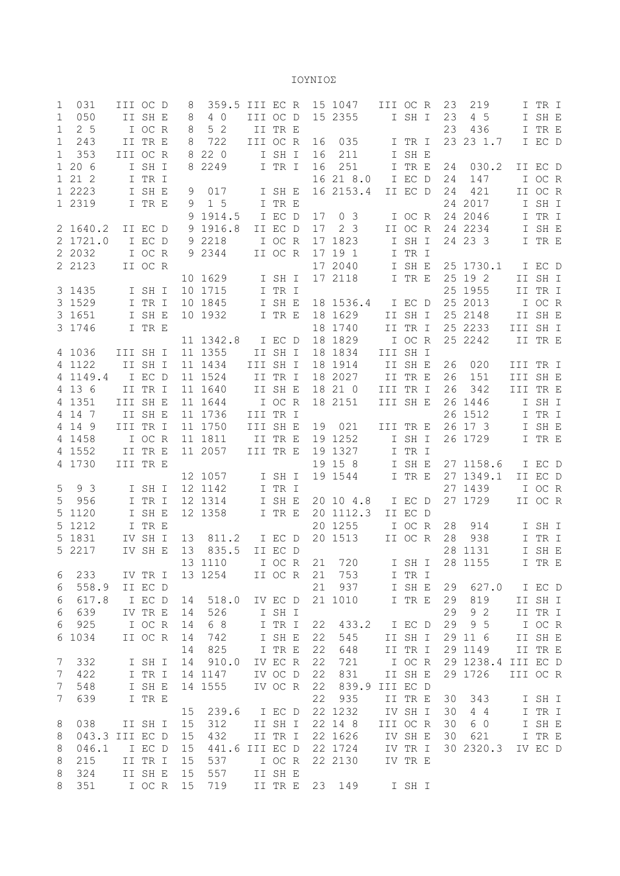ΙΟΥΝΙΟΣ

| 1              | 031            | III OC D |                   | 8        | 359.5          | III EC R |                    |    | 15 1047        | III OC R |         | 23 | 219                |          | I TR I  |  |
|----------------|----------------|----------|-------------------|----------|----------------|----------|--------------------|----|----------------|----------|---------|----|--------------------|----------|---------|--|
| $\mathbf{1}$   | 050            |          | II SH E           | 8        | 4 0            | III OC D |                    |    | 15 2355        |          | I SH I  | 23 | 4 5                |          | I SH E  |  |
| $\mathbf 1$    | 2 <sub>5</sub> |          | I OC R            | 8        | 5 <sub>2</sub> |          | II TR E            |    |                |          |         | 23 | 436                |          | I TR E  |  |
| $\mathbf 1$    | 243            |          | II TR E           | 8        | 722            | III OC R |                    | 16 | 035            |          | I TR I  |    | 23 23 1.7          |          | I EC D  |  |
| $\mathbf 1$    | 353            | III OC R |                   |          | 8 2 2 0        |          | I SH I             | 16 | 211            |          | I SH E  |    |                    |          |         |  |
| $\mathbf{1}$   | 206            |          | I SH I            |          | 8 2249         |          | I TR I             | 16 | 251            | I.       | TR E    | 24 | 030.2              |          | II EC D |  |
| $\mathbf{1}$   | 21 2           |          | I TR I            |          |                |          |                    |    | 16 21 8.0      |          | I EC D  | 24 | 147                |          | I OC R  |  |
|                | 1 2223         |          | I SH E            | 9        | 017            |          | I SH E             |    | 16 2153.4      |          | II EC D | 24 | 421                |          | II OC R |  |
|                | 1 2319         |          | I TR E            | 9        | 1 <sub>5</sub> |          | I TR E             |    |                |          |         |    | 24 2017            | I.       | SH I    |  |
|                |                |          |                   |          | 9 1914.5       |          | I EC D             | 17 | 0 <sup>3</sup> |          | I OC R  |    | 24 2046            | I        | TR I    |  |
|                | 2 1640.2       |          | II EC D           |          | 9 1916.8       |          | II EC D            | 17 | 2 <sub>3</sub> |          | II OC R |    | 24 2234            |          | I SH E  |  |
|                | 2 1721.0       |          | I EC D            |          | 9 2218         |          | I OC R             | 17 | 1823           |          | I SH I  |    | 24 23 3            |          | I TR E  |  |
|                | 2 2032         |          | I OC R            |          | 9 2344         |          | II OC R            | 17 | 19 1           |          | I TR I  |    |                    |          |         |  |
|                | 2 2123         |          | II OC R           |          |                |          |                    |    | 17 2040        |          | I SH E  |    | 25 1730.1          |          | I EC D  |  |
|                |                |          |                   |          | 10 1629        |          | I SH I             |    | 17 2118        |          | I TR E  |    | 25 19 2            |          | II SH I |  |
|                | 3 1435         |          | I SH I            |          | 10 1715        |          | I TR I             |    |                |          |         |    | 25 1955            |          | II TR I |  |
|                | 3 1529         |          | I TR I            |          | 10 1845        |          | I SH E             |    | 18 1536.4      |          | I EC D  |    | 25 2013            |          | I OC R  |  |
|                | 3 1651         |          | I SH E            |          | 10 1932        |          | I TR E             |    | 18 1629        |          | II SH I |    | 25 2148            |          | II SH E |  |
|                | 3 1746         |          | I TR E            |          |                |          |                    |    | 18 1740        |          | II TR I |    | 25 2233            | III SH I |         |  |
|                |                |          |                   |          | 11 1342.8      |          | I EC D             |    | 18 1829        |          | I OC R  |    | 25 2242            |          | II TR E |  |
|                | 4 1036         | III SH I |                   |          | 11 1355        |          | II SH I            |    | 18 1834        | III SH I |         |    |                    |          |         |  |
|                | 4 1122         |          | II SH I           |          | 11 1434        | III SH I |                    |    | 18 1914        |          | II SH E | 26 | 020                | III TR I |         |  |
|                | 4 1149.4       |          | I EC D            |          | 11 1524        |          | II TR I            |    | 18 2027        |          | II TR E | 26 | 151                | III SH E |         |  |
|                | 4 13 6         |          | II TR I           |          | 11 1640        |          | II SH E            |    | 18 21 0        | III TR I |         | 26 | 342                | III TR E |         |  |
|                | 4 1351         | III SH E |                   |          | 11 1644        |          | I OC R             |    | 18 2151        | III SH E |         |    | 26 1446            |          | I SH I  |  |
|                | 4 14 7         |          | II SH E           |          | 11 1736        | III TR I |                    |    |                |          |         |    | 26 1512            | I.       | TR I    |  |
|                | 4 14 9         | III TR I |                   |          | 11 1750        | III SH E |                    | 19 | 021            | III TR E |         |    | 26 17 3            |          | I SH E  |  |
|                | 4 1458         |          | I OC R            |          | 11 1811        |          | II TR E            |    | 19 1252        |          | I SH I  |    | 26 1729            |          | I TR E  |  |
|                | 4 1552         |          | II TR E           |          | 11 2057        | III TR E |                    |    | 19 1327        |          | I TR I  |    |                    |          |         |  |
|                | 4 1730         | III TR E |                   |          |                |          |                    |    | 19 15 8        |          | I SH E  |    | 27 1158.6          |          | I EC D  |  |
|                |                |          |                   |          | 12 1057        |          | I SH I             |    | 19 1544        |          | I TR E  |    | 27 1349.1          |          | II EC D |  |
| 5              | 9 3            |          | I SH I            |          | 12 1142        |          | I TR I             |    |                |          |         |    | 27 1439            |          | I OC R  |  |
| 5              | 956            |          | I TR I            |          | 12 1314        |          | I SH E             |    | 20 10 4.8      |          | I EC D  |    | 27 1729            |          | II OC R |  |
| 5              | 1120           |          | I SH E            |          | 12 1358        |          | I TR E             |    | 20 1112.3      |          | II EC D |    |                    |          |         |  |
| 5              | 1212           |          | I TR E            |          |                |          |                    |    |                |          |         |    |                    |          |         |  |
| 5              |                |          |                   |          |                |          |                    |    | 20 1255        |          | I OC R  | 28 | 914                |          | I SH I  |  |
|                | 1831           |          | IV SH I           | 13       | 811.2          |          | I EC D             |    | 20 1513        |          | II OC R | 28 | 938                |          | I TR I  |  |
|                | 5 2217         |          | IV SH E           | 13       | 835.5          |          | II EC D            |    |                |          |         |    | 28 1131            |          | I SH E  |  |
|                |                |          |                   |          | 13 1110 I OC R |          |                    |    | 21 720         |          | I SH I  |    | 28 1155            |          | I TR E  |  |
| 6              | 233            |          | IV TR I           |          | 13 1254        |          | II OC R            | 21 | 753            |          | I TR I  |    |                    |          |         |  |
| 6              | 558.9          |          | II EC D           |          |                |          |                    | 21 | 937            |          | I SH E  | 29 | 627.0              |          | I EC D  |  |
| 6              | 617.8          |          | I EC D            | 14       | 518.0          |          | IV EC D            |    | 21 1010        |          | I TR E  | 29 | 819                |          | II SH I |  |
| 6              | 639            |          | IV TR E           | 14       | 526            |          | I SH I             |    |                |          |         | 29 | 92                 |          | II TR I |  |
| 6              | 925            |          | I OC R            | 14       | 6 8            |          | I TR I             | 22 | 433.2          |          | I EC D  | 29 | 9 5                |          | I OC R  |  |
|                | 6 1034         |          | II OC R           | 14       | 742            |          | I SH E             | 22 | 545            |          | II SH I |    | 29 11 6            |          | II SH E |  |
|                |                |          |                   | 14       | 825            |          | I TR E             | 22 | 648            |          | II TR I |    | 29 1149            |          | II TR E |  |
| 7              | 332            |          | I SH I            | 14       | 910.0          |          | IV EC R            | 22 | 721            |          | I OC R  |    | 29 1238.4 III EC D |          |         |  |
| 7              | 422            |          | I TR I            |          | 14 1147        |          | IV OC D            | 22 | 831            |          | II SH E |    | 29 1726            | III OC R |         |  |
| $7\phantom{.}$ | 548            |          | I SH E            |          | 14 1555        |          | IV OC R            | 22 | 839.9          | III EC D |         |    |                    |          |         |  |
| $\overline{7}$ | 639            |          | I TR E            |          |                |          |                    | 22 | 935            |          | II TR E | 30 | 343                |          | I SH I  |  |
|                |                |          |                   | 15       | 239.6          |          | I EC D             |    | 22 1232        |          | IV SH I | 30 | 4 4                |          | I TR I  |  |
| 8              | 038            |          | II SH I           | 15       | 312            |          | II SH I            |    | 22 14 8        | III OC R |         | 30 | 6 0                |          | I SH E  |  |
| $\,8\,$        | 043.3 III EC D |          |                   | 15       | 432            |          | II TR I            |    | 22 1626        |          | IV SH E | 30 | 621                |          | I TR E  |  |
| 8              | 046.1          |          | I EC D            | 15       | 441.6 III EC D |          |                    |    | 22 1724        |          | IV TR I |    | 30 2320.3          |          | IV EC D |  |
| $\,8\,$        | 215            |          | II TR I           | 15       | 537            |          | I OC R             |    | 22 2130        |          | IV TR E |    |                    |          |         |  |
| $\,8\,$<br>8   | 324<br>351     |          | II SH E<br>I OC R | 15<br>15 | 557<br>719     |          | II SH E<br>II TR E | 23 | 149            |          | I SH I  |    |                    |          |         |  |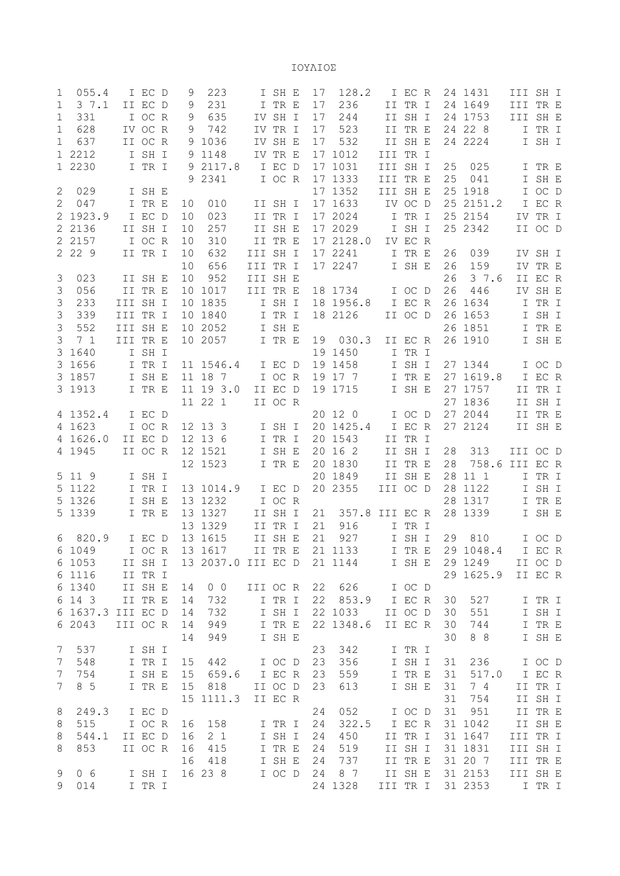ΙΟΥΛΙΟΣ

|                 | 055.4                 |          | I EC D           | 9               | 223                |          | I SH E  | 17 | 128.2           |          | I EC R  |    | 24 1431                 | III SH I |         |  |
|-----------------|-----------------------|----------|------------------|-----------------|--------------------|----------|---------|----|-----------------|----------|---------|----|-------------------------|----------|---------|--|
| $\mathbf{1}$    | 37.1                  |          | II EC D          | 9               | 231                |          | I TR E  | 17 | 236             |          | II TR I |    | 24 1649                 | III TR E |         |  |
| 1               | 331                   |          | I OC R           | 9               | 635                |          | IV SH I | 17 | 244             |          | II SH I |    | 24 1753                 | III SH E |         |  |
| $\mathbf 1$     | 628                   |          | IV OC R          | 9               | 742                |          | IV TR I | 17 | 523             |          | II TR E |    | 24 22 8                 |          | I TR I  |  |
| $\mathbf 1$     | 637                   |          | II OC R          |                 | 9 1036             |          | IV SH E | 17 | 532             |          | II SH E |    | 24 2224                 |          | I SH I  |  |
|                 | 1 2212                |          | I SH I           |                 | 9 1148             |          | IV TR E |    | 17 1012         | III TR I |         |    |                         |          |         |  |
|                 | 1 2230                |          | I TR I           |                 | 9 2117.8           |          | I EC D  |    | 17 1031         | III SH I |         | 25 | 025                     |          | I TR E  |  |
|                 |                       |          |                  |                 | 9 2341             |          | I OC R  |    | 17 1333         | III TR E |         | 25 | 041                     | I.       | SH E    |  |
| $\overline{c}$  | 029                   |          | I SH E           |                 |                    |          |         |    | 17 1352         | III SH E |         |    | 25 1918                 |          | I OC D  |  |
| 2               | 047                   |          | I TR E           | 10              | 010                |          | II SH I |    | 17 1633         |          | IV OC D |    | 25 2151.2               |          | I EC R  |  |
|                 | 2 1923.9              |          | I EC D           | 10              | 023                |          | II TR I |    | 17 2024         |          | I TR I  |    | 25 2154                 |          | IV TR I |  |
| $\overline{2}$  | 2136                  |          | II SH I          | 10              | 257                |          | II SH E |    | 17 2029         |          | I SH I  |    | 25 2342                 |          | II OC D |  |
| $\overline{2}$  | 2157                  |          | I OC R           | 10              | 310                |          | II TR E |    | 17 2128.0       |          | IV EC R |    |                         |          |         |  |
|                 | 2 2 2 9               |          | II TR I          | 10              | 632                | III SH I |         |    | 17 2241         |          | I TR E  | 26 | 039                     |          | IV SH I |  |
|                 |                       |          |                  | 10              | 656                | III TR I |         |    | 17 2247         |          | I SH E  | 26 | 159                     |          | IV TR E |  |
| $\mathsf 3$     | 023                   |          | II SH E          | 10              | 952                | III SH E |         |    |                 |          |         | 26 | 3 7.6                   |          | II EC R |  |
| 3               | 056                   |          | II TR E          |                 | 10 1017            | III TR E |         |    | 18 1734         |          | I OC D  | 26 | 446                     |          | IV SH E |  |
| $\mathfrak{Z}$  | 233                   | III SH I |                  |                 | 10 1835            |          | I SH I  |    | 18 1956.8       |          | I EC R  |    | 26 1634                 | Ι        | TR I    |  |
| $\mathfrak{Z}$  | 339                   | III TR I |                  |                 | 10 1840            |          | I TR I  |    | 18 2126         |          | II OC D |    | 26 1653                 | I.       | SH I    |  |
| $\mathcal{S}$   | 552                   | III SH E |                  |                 | 10 2052            |          | I SH E  |    |                 |          |         |    | 26 1851                 | I.       | TR E    |  |
| 3               | 7 <sub>1</sub>        | III TR E |                  |                 | 10 2057            |          | I TR E  | 19 | 030.3           |          | II EC R |    | 26 1910                 |          | I SH E  |  |
|                 | 3 1640                |          | I SH I           |                 |                    |          |         |    | 19 1450         |          | I TR I  |    |                         |          |         |  |
|                 | 3 1656                |          | I TR I           |                 | 11 1546.4          |          | I EC D  |    | 19 1458         |          | I SH I  |    | 27 1344                 |          | I OC D  |  |
|                 | 3 1857                |          | I SH E           |                 | 11 18 7            |          | I OC R  |    | 19 17 7         |          | I TR E  |    | 27 1619.8               |          | I EC R  |  |
|                 | 3 1913                |          | I TR E           |                 | 11 19 3.0          |          | II EC D |    | 19 1715         |          | I SH E  |    | 27 1757                 | II       | TR I    |  |
|                 |                       |          |                  |                 | 11 22 1            |          | II OC R |    |                 |          |         |    | 27 1836                 |          | II SH I |  |
|                 | 4 1352.4              |          | I EC D           |                 |                    |          |         |    | 20 12 0         |          | I OC D  |    | 27 2044                 |          | II TR E |  |
|                 | 4 1623                |          | I OC R           |                 | 12 13 3            |          | I SH I  |    | 20 1425.4       |          | I EC R  |    | 27 2124                 |          | II SH E |  |
|                 |                       |          |                  |                 |                    |          |         |    |                 |          |         |    |                         |          |         |  |
|                 |                       |          |                  |                 |                    |          |         |    |                 |          |         |    |                         |          |         |  |
|                 | 4 1626.0              |          | II EC D          |                 | 12 13 6            |          | I TR I  |    | 20 1543         |          | II TR I |    |                         |          |         |  |
|                 | 4 1945                |          | II OC R          |                 | 12 1521            |          | I SH E  |    | 20 16 2         |          | II SH I | 28 | 313                     | III OC D |         |  |
|                 |                       |          |                  |                 | 12 1523            |          | I TR E  |    | 20 1830         |          | II TR E | 28 | 758.6 III EC R          |          |         |  |
|                 | 5 11 9                |          | I SH I           |                 |                    |          |         |    | 20 1849         |          | II SH E |    | 28 11 1                 |          | I TR I  |  |
|                 | 5 1122                |          | I TR I           |                 | 13 1014.9          |          | I EC D  |    | 20 2355         | III OC D |         |    | 28 1122                 |          | I SH I  |  |
| 5               | 1326                  |          | I SH E           |                 | 13 1232            |          | I OC R  |    |                 |          |         |    | 28 1317                 |          | I TR E  |  |
|                 | 5 1339                |          | I TR E           |                 | 13 1327            |          | II SH I | 21 | 357.8           | III EC R |         |    | 28 1339                 |          | I SH E  |  |
|                 |                       |          |                  |                 | 13 1329            |          | II TR I | 21 | 916             |          | I TR I  |    |                         |          |         |  |
| 6               | 820.9                 |          | I EC D           |                 | 13 1615            |          | II SH E | 21 | 927             |          | I SH I  | 29 | 810                     |          | I OC D  |  |
|                 | 6 1049 I OC R         |          |                  |                 | 13 1617            |          |         |    | II TR E 21 1133 |          |         |    | I TR E 29 1048.4 I EC R |          |         |  |
|                 | 6 1053                |          | II SH I          |                 | 13 2037.0 III EC D |          |         |    | 21 1144         |          | I SH E  |    | 29 1249                 |          | II OC D |  |
|                 | 6 1116                |          | II TR I          |                 |                    |          |         |    |                 |          |         |    | 29 1625.9               |          | II EC R |  |
|                 | 6 1340                |          | II SH E          | 14              | $0\quad 0$         | III OC R |         | 22 | 626             |          | I OC D  |    |                         |          |         |  |
|                 | 6 14 3                |          | II TR E          | 14              | 732                |          | I TR I  | 22 | 853.9           |          | I EC R  | 30 | 527                     |          | I TR I  |  |
|                 | 6 1637.3 III EC D     |          |                  | 14              | 732                |          | I SH I  |    | 22 1033         |          | II OC D | 30 | 551                     |          | I SH I  |  |
|                 | 6 2043                | III OC R |                  | 14              | 949                |          | I TR E  |    | 22 1348.6       |          | II EC R | 30 | 744                     |          | I TR E  |  |
|                 |                       |          |                  | 14              | 949                |          | I SH E  |    |                 |          |         | 30 | 8 8                     |          | I SH E  |  |
| 7               | 537                   |          | I SH I           |                 |                    |          |         | 23 | 342             |          | I TR I  |    |                         |          |         |  |
| $7\phantom{.0}$ | 548                   |          | I TR I           | 15              | 442                |          | I OC D  | 23 | 356             |          | I SH I  | 31 | 236                     |          | I OC D  |  |
| $7\phantom{.}$  | 754                   |          | I SH E           | 15 <sub>1</sub> | 659.6              |          | I EC R  | 23 | 559             |          | I TR E  | 31 | 517.0                   |          | I EC R  |  |
| $\overline{7}$  | 8 5                   |          | I TR E           | 15              | 818                |          | II OC D | 23 | 613             |          | I SH E  | 31 | 7 4                     |          | II TR I |  |
|                 |                       |          |                  |                 | 15 1111.3          |          | II EC R |    |                 |          |         | 31 | 754                     |          | II SH I |  |
| 8               | 249.3                 |          | I EC D           |                 |                    |          |         | 24 | 052             |          | I OC D  | 31 | 951                     |          | II TR E |  |
| 8               | 515                   |          | I OC R           | 16              | 158                |          | I TR I  | 24 | 322.5           |          | I EC R  |    | 31 1042                 |          | II SH E |  |
| 8               | 544.1                 |          | II EC D          | 16              | 2 <sub>1</sub>     |          | I SH I  | 24 | 450             |          | II TR I |    | 31 1647                 | III TR I |         |  |
| 8               | 853                   |          | II OC R          | 16              | 415                |          | I TR E  | 24 | 519             |          | II SH I |    | 31 1831                 | III SH I |         |  |
|                 |                       |          |                  | 16              | 418                |          | I SH E  | 24 | 737             |          | II TR E |    | 31 20 7                 | III TR E |         |  |
| 9<br>9          | 0 <sub>6</sub><br>014 |          | I SH I<br>I TR I |                 | 16 23 8            |          | I OC D  | 24 | 8 7<br>24 1328  | III TR I | II SH E |    | 31 2153<br>31 2353      | III SH E | I TR I  |  |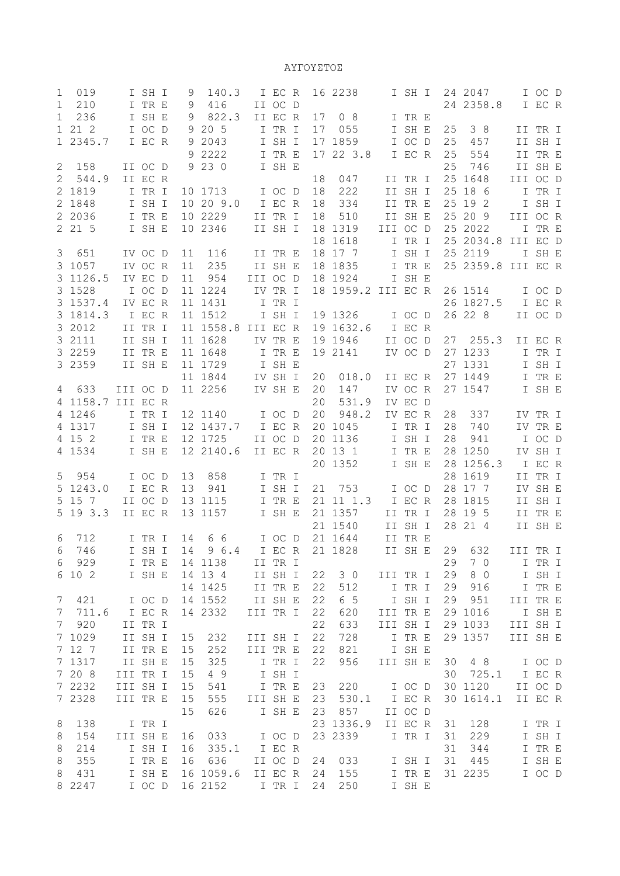ΑΥΓΟΥΣΤΟΣ

| 019<br>1              |          | I SH I  | 9         | 140.3     |          | I EC R  |    | 16 2238   |          | I SH I  |    | 24 2047   |          | I OC D  |  |
|-----------------------|----------|---------|-----------|-----------|----------|---------|----|-----------|----------|---------|----|-----------|----------|---------|--|
| $\mathbf{1}$<br>210   |          | I TR E  | 9         | 416       |          | II OC D |    |           |          |         |    | 24 2358.8 |          | I EC R  |  |
| 1<br>236              |          | I SH E  | 9         | 822.3     |          | II EC R | 17 | 08        |          | I TR E  |    |           |          |         |  |
| 1 21 2                |          | I OC D  |           | 9 20 5    |          | I TR I  | 17 | 055       |          | I SH E  | 25 | 38        |          | II TR I |  |
|                       |          |         |           |           |          |         |    |           |          |         |    |           |          |         |  |
| 1 2345.7              |          | I EC R  |           | 9 2043    |          | I SH I  |    | 17 1859   |          | I OC D  | 25 | 457       |          | II SH I |  |
|                       |          |         |           | 9 2222    |          | I TR E  |    | 17 22 3.8 |          | I EC R  | 25 | 554       |          | II TR E |  |
| 158<br>$\mathbf{2}$   |          | II OC D |           | 9 2 3 0   |          | I SH E  |    |           |          |         | 25 | 746       |          | II SH E |  |
| $\mathbf{2}$<br>544.9 |          | II EC R |           |           |          |         | 18 | 047       |          | II TR I |    | 25 1648   | III OC D |         |  |
| 2 1819                |          | I TR I  |           | 10 1713   |          | I OC D  | 18 | 222       |          | II SH I |    | 25 18 6   |          | I TR I  |  |
| 2 1848                |          | I SH I  |           | 10 20 9.0 |          | I EC R  | 18 | 334       |          | II TR E |    | 25 19 2   | I.       | SH I    |  |
| 2 2036                |          | I TR E  |           | 10 2229   |          | II TR I | 18 | 510       |          | II SH E |    | 25 20 9   | III OC R |         |  |
| 2 21 5                |          | I SH E  |           | 10 2346   |          | II SH I |    | 18 1319   | III OC D |         |    | 25 2022   |          | I TR E  |  |
|                       |          |         |           |           |          |         | 18 | 1618      |          | I TR I  |    | 25 2034.8 | III EC D |         |  |
| 3<br>651              |          | IV OC D | 11        | 116       |          | II TR E |    | 18 17 7   |          | I SH I  |    | 25 2119   |          | I SH E  |  |
| 3 1057                |          | IV OC R | 11        | 235       |          | II SH E | 18 | 1835      |          | I TR E  |    | 25 2359.8 | III EC R |         |  |
| 3 1126.5              |          | IV EC D | 11        | 954       | III OC D |         |    | 18 1924   |          | I SH E  |    |           |          |         |  |
|                       |          |         |           |           |          |         |    |           |          |         |    |           |          |         |  |
| 3 1528                |          | I OC D  |           | 11 1224   |          | IV TR I |    | 18 1959.2 | III EC R |         |    | 26 1514   |          | I OC D  |  |
| 3 1537.4              |          | IV EC R |           | 11 1431   |          | I TR I  |    |           |          |         |    | 26 1827.5 |          | I EC R  |  |
| 3 1814.3              |          | I EC R  |           | 11 1512   |          | I SH I  |    | 19 1326   |          | I OC D  |    | 26 22 8   |          | II OC D |  |
| 3 2012                |          | II TR I |           | 11 1558.8 | III EC R |         |    | 19 1632.6 |          | I EC R  |    |           |          |         |  |
| 3 2111                |          | II SH I |           | 11 1628   |          | IV TR E |    | 19 1946   |          | II OC D | 27 | 255.3     |          | II EC R |  |
| 3 2259                |          | II TR E |           | 11 1648   |          | I TR E  |    | 19 2141   |          | IV OC D |    | 27 1233   | I.       | TR I    |  |
| 3 2 3 5 9             |          | II SH E |           | 11 1729   |          | I SH E  |    |           |          |         |    | 27 1331   | I.       | SH I    |  |
|                       |          |         |           | 11 1844   |          | IV SH I | 20 | 018.0     |          | II EC R |    | 27 1449   | I.       | TR E    |  |
| 633<br>4              | III OC D |         |           | 11 2256   |          | IV SH E | 20 | 147       |          | IV OC R |    | 27 1547   |          | I SH E  |  |
| 4 1158.7              | III EC R |         |           |           |          |         | 20 | 531.9     |          | IV EC D |    |           |          |         |  |
| 4 1246                |          | I TR I  |           | 12 1140   |          | I OC D  | 20 | 948.2     |          | IV EC R | 28 | 337       |          | IV TR I |  |
| 4 1317                |          | I SH I  |           | 12 1437.7 |          | I EC R  |    | 20 1045   |          | I TR I  | 28 | 740       |          | IV TR E |  |
|                       |          |         |           | 12 1725   |          |         |    |           |          |         |    |           |          |         |  |
| 4 15 2                |          | I TR E  |           |           |          | II OC D |    | 20 1136   |          | I SH I  | 28 | 941       |          | I OC D  |  |
| 4 1534                |          | I SH E  |           | 12 2140.6 |          | II EC R |    | 20 13 1   |          | I TR E  |    | 28 1250   |          | IV SH I |  |
|                       |          |         |           |           |          |         |    | 20 1352   |          | I SH E  |    | 28 1256.3 |          | I EC R  |  |
| 5<br>954              |          | I OC D  | 13        | 858       |          | I TR I  |    |           |          |         |    | 28 1619   | II       | TR I    |  |
| 5 1243.0              |          | I EC R  | 13        | 941       |          | I SH I  | 21 | 753       |          | I OC D  |    | 28 17 7   |          | IV SH E |  |
| 15 7<br>5             |          | II OC D |           | 13 1115   |          | I TR E  |    | 21 11 1.3 |          | I EC R  |    | 28 1815   |          | II SH I |  |
| 19 3.3<br>5           |          | II EC R |           | 13 1157   |          | I SH E  |    | 21 1357   |          | II TR I |    | 28 19 5   | II       | TR E    |  |
|                       |          |         |           |           |          |         |    | 21 1540   |          | II SH I |    | 28 21 4   |          | II SH E |  |
| 6<br>712              |          | I TR I  | 14        | 6 6       |          | I OC D  |    | 21 1644   |          | II TR E |    |           |          |         |  |
| 6 746                 |          |         | I SH I 14 | 96.4      |          | I EC R  |    | 21 1828   |          | II SH E |    | 29 632    | III TR I |         |  |
| 929<br>6              |          | I TR E  |           | 14 1138   |          | II TR I |    |           |          |         | 29 | 7 0       |          | I TR I  |  |
| 6 10 2                |          | I SH E  |           | 14  13  4 |          | II SH I | 22 | 30        | III TR I |         | 29 | 8 0       |          | I SH I  |  |
|                       |          |         |           | 14 1425   |          | II TR E | 22 | 512       |          | I TR I  | 29 | 916       |          | I TR E  |  |
| $\overline{7}$<br>421 |          | I OC D  |           | 14 1552   |          | II SH E | 22 | 6 5       |          | I SH I  | 29 | 951       | III TR E |         |  |
|                       |          |         |           |           |          |         |    |           |          |         |    |           |          |         |  |
| 711.6<br>7            |          | I EC R  |           | 14 2332   | III TR I |         | 22 | 620       | III TR E |         |    | 29 1016   |          | I SH E  |  |
| $\overline{7}$<br>920 |          | II TR I |           |           |          |         | 22 | 633       | III SH I |         |    | 29 1033   | III SH I |         |  |
| 7 1029                |          | II SH I | 15        | 232       | III SH I |         | 22 | 728       |          | I TR E  |    | 29 1357   | III SH E |         |  |
| 7 12 7                |          | II TR E | 15        | 252       | III TR E |         | 22 | 821       |          | I SH E  |    |           |          |         |  |
| 7 1317                |          | II SH E | 15        | 325       |          | I TR I  | 22 | 956       | III SH E |         | 30 | 4 8       |          | I OC D  |  |
| 7 20 8                | III TR I |         | 15        | 4 9       |          | I SH I  |    |           |          |         |    | 30 725.1  |          | I EC R  |  |
| 7 2232                | III SH I |         | 15        | 541       |          | I TR E  | 23 | 220       |          | I OC D  |    | 30 1120   |          | II OC D |  |
| 7 2328                | III TR E |         | 15        | 555       | III SH E |         | 23 | 530.1     |          | I EC R  |    | 30 1614.1 |          | II EC R |  |
|                       |          |         | 15        | 626       |          | I SH E  | 23 | 857       |          | II OC D |    |           |          |         |  |
| 138<br>8              |          | I TR I  |           |           |          |         |    | 23 1336.9 |          | II EC R | 31 | 128       |          | I TR I  |  |
| 154<br>8              | III SH E |         | 16        | 033       |          | I OC D  |    | 23 2339   |          | I TR I  | 31 | 229       |          | I SH I  |  |
| 8<br>214              |          | I SH I  | 16        | 335.1     |          | I EC R  |    |           |          |         | 31 | 344       |          | I TR E  |  |
| 8<br>355              |          | I TR E  | 16        |           |          |         | 24 |           |          | I SH I  | 31 |           |          | I SH E  |  |
|                       |          |         |           | 636       |          | II OC D |    | 033       |          |         |    | 445       |          |         |  |
| 8<br>431              |          | I SH E  |           | 16 1059.6 |          | II EC R | 24 | 155       |          | I TR E  |    | 31 2235   |          | I OC D  |  |
| 8 2247                |          | I OC D  |           | 16 2152   | I TR I   |         | 24 | 250       |          | I SH E  |    |           |          |         |  |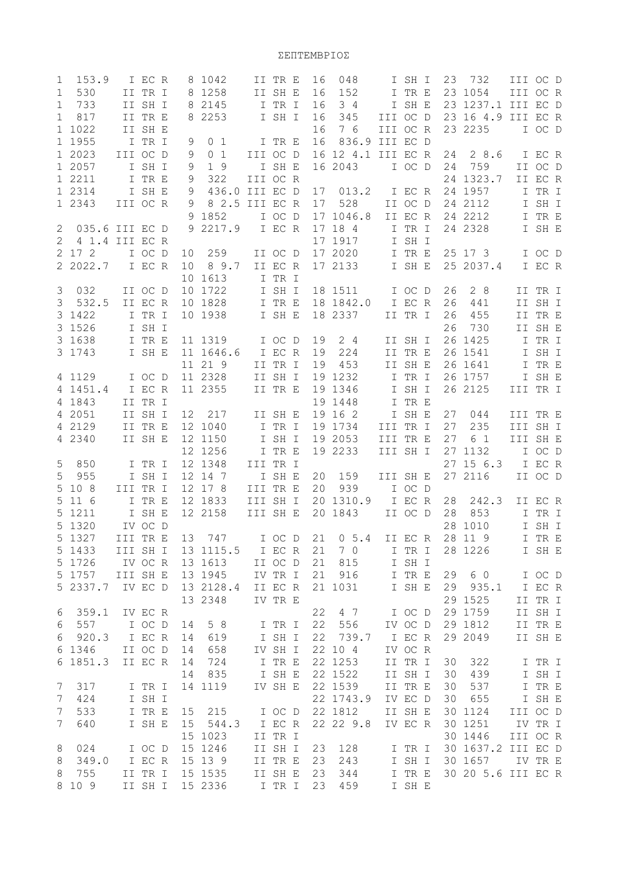|                  | 153.9          |          | I EC R             |                 | 8 1042             |          | II TR E           | 16       | 048                |          | I SH I           |    | 23 732             | III OC D |         |  |
|------------------|----------------|----------|--------------------|-----------------|--------------------|----------|-------------------|----------|--------------------|----------|------------------|----|--------------------|----------|---------|--|
| $\mathbf 1$      | 530            |          | II TR I            |                 | 8 1258             |          | II SH E           | 16       | 152                |          | I TR E           |    | 23 1054            | III OC R |         |  |
| $\mathbf 1$      | 733            |          | II SH I            |                 | 8 2145             |          | I TR I            | 16       | 34                 |          | I SH E           |    | 23 1237.1 III EC D |          |         |  |
| 1                | 817            |          | II TR E            |                 | 8 2253             |          | I SH I            | 16       | 345                | III OC D |                  |    | 23 16 4.9 III EC R |          |         |  |
|                  | 1 1022         |          | II SH E            |                 |                    |          |                   | 16       | 7 6                | III OC R |                  |    | 23 2235            |          | I OC D  |  |
|                  | 1 1955         |          | I TR I             | 9               | 0 <sub>1</sub>     |          | I TR E            | 16       | 836.9              | III EC D |                  |    |                    |          |         |  |
|                  | 1 2023         | III OC D |                    | 9               | 0 <sub>1</sub>     | III OC D |                   |          | 16 12 4.1 III EC R |          |                  | 24 | 28.6               |          | I EC R  |  |
|                  |                |          |                    |                 |                    |          |                   |          |                    |          |                  |    |                    |          |         |  |
|                  | 1 2057         |          | I SH I             | 9               | 1 9                |          | I SH E            |          | 16 2043            |          | I OC D           | 24 | 759                |          | II OC D |  |
|                  | 1 2211         |          | I TR E             | 9               | 322                | III OC R |                   |          |                    |          |                  |    | 24 1323.7          |          | II EC R |  |
|                  | 1 2314         |          | I SH E             | 9               | 436.0              | III EC D |                   | 17       | 013.2              |          | I EC R           |    | 24 1957            |          | I TR I  |  |
|                  | 1 2343         | III OC R |                    | 9               | 8 2.5 III EC R     |          |                   | 17       | 528                |          | II OC D          |    | 24 2112            |          | I SH I  |  |
|                  |                |          |                    |                 | 9 1852             |          | I OC D            |          | 17 1046.8          |          | II EC R          |    | 24 2212            |          | I TR E  |  |
| 2                | 035.6 III EC D |          |                    |                 | 9 2217.9           |          | I EC R            |          | 17 18 4            |          | I TR I           |    | 24 2328            |          | I SH E  |  |
| $\overline{2}$   | 4 1.4 III EC R |          |                    |                 |                    |          |                   |          | 17 1917            |          | I SH I           |    |                    |          |         |  |
|                  | 2 17 2         |          | I OC D             | 10 <sub>1</sub> | 259                |          | II OC D           |          | 17 2020            |          | I TR E           |    | 25 17 3            |          | I OC D  |  |
|                  | 2 2022.7       |          | I EC R             | 10              | 8 9.7              |          | II EC R           |          | 17 2133            |          | I SH E           |    | 25 2037.4          |          | I EC R  |  |
|                  |                |          |                    |                 | 10 1613            |          | I TR I            |          |                    |          |                  |    |                    |          |         |  |
| 3                | 032            |          | II OC D            |                 | 10 1722            |          | I SH I            |          | 18 1511            |          | I OC D           | 26 | 28                 |          | II TR I |  |
| 3                | 532.5          |          | II EC R            |                 | 10 1828            |          | I TR E            |          | 18 1842.0          |          | I EC R           |    |                    |          | II SH I |  |
|                  |                |          |                    |                 |                    |          |                   |          |                    |          |                  | 26 | 441                |          |         |  |
|                  | 3 1422         |          | I TR I             |                 | 10 1938            |          | I SH E            |          | 18 2337            |          | II TR I          | 26 | 455                |          | II TR E |  |
|                  | 3 1526         |          | I SH I             |                 |                    |          |                   |          |                    |          |                  | 26 | 730                |          | II SH E |  |
|                  | 3 1638         |          | I TR E             |                 | 11 1319            |          | I OC D            | 19       | 24                 |          | II SH I          |    | 26 1425            |          | I TR I  |  |
|                  | 3 1743         |          | I SH E             |                 | 11 1646.6          |          | I EC R            | 19       | 224                |          | II TR E          |    | 26 1541            |          | I SH I  |  |
|                  |                |          |                    |                 | 11 21 9            |          | II TR I           | 19       | 453                |          | II SH E          |    | 26 1641            |          | I TR E  |  |
|                  | 4 1129         |          | I OC D             |                 | 11 2328            |          | II SH I           |          | 19 1232            |          | I TR I           |    | 26 1757            |          | I SH E  |  |
|                  | 4 1451.4       |          | I EC R             |                 | 11 2355            |          | II TR E           |          | 19 1346            |          | I SH I           |    | 26 2125            | III TR I |         |  |
|                  | 4 1843         |          | II TR I            |                 |                    |          |                   |          | 19 1448            |          | I TR E           |    |                    |          |         |  |
|                  | 4 2051         |          | II SH I            |                 | 12 217             |          | II SH E           |          | 19 16 2            |          | I SH E           | 27 | 044                | III TR E |         |  |
|                  | 4 2129         |          | II TR E            |                 | 12 1040            |          | I TR I            |          | 19 1734            | III TR I |                  | 27 | 235                | III SH I |         |  |
|                  | 4 2340         |          | II SH E            |                 | 12 1150            |          | I SH I            |          | 19 2053            | III TR E |                  | 27 | 6 1                | III SH E |         |  |
|                  |                |          |                    |                 |                    |          |                   |          |                    |          |                  |    |                    |          |         |  |
|                  |                |          |                    |                 | 12 1256            |          | I TR E            |          | 19 2233            | III SH I |                  |    | 27 1132            |          | I OC D  |  |
| 5                | 850            |          | I TR I             |                 | 12 1348            | III TR I |                   |          |                    |          |                  |    | 27 15 6.3          |          | I EC R  |  |
| 5                | 955            |          | I SH I             |                 | 12 14 7            |          | I SH E            | 20       | 159                | III SH E |                  |    | 27 2116            |          | II OC D |  |
| 5                | 10 8           | III TR I |                    |                 | 12 17 8            | III TR E |                   | 20       | 939                |          | I OC D           |    |                    |          |         |  |
| 5                | 11 6           |          |                    |                 | 12 1833            | III SH I |                   |          | 20 1310.9          |          | I EC R           | 28 | 242.3              |          | II EC R |  |
|                  |                |          | I TR E             |                 |                    | III SH E |                   |          |                    |          |                  |    |                    |          |         |  |
|                  | 5 1211         |          | I SH E             | 12 2158         |                    |          |                   |          | 20 1843            | II OC D  |                  | 28 | 853                |          | I TR I  |  |
|                  | 5 1320         |          | IV OC D            |                 |                    |          |                   |          |                    |          |                  |    | 28 1010            |          | I SH I  |  |
|                  |                |          |                    |                 |                    |          |                   |          |                    |          |                  |    |                    |          |         |  |
|                  | 5 1327         | III TR E |                    |                 | 13 747             | I OC D   |                   | 21       | $0\;5.4$           |          | II EC R          |    | 28 11 9            |          | I TR E  |  |
|                  | 5 1433         | III SH I |                    |                 | 13 1115.5          |          | I EC R            | 21       | 7 0                |          | I TR I           |    | 28 1226            |          | I SH E  |  |
| 5                | 1726           |          | IV OC R            |                 | 13 1613            |          | II OC D           | 21       | 815                |          | I SH I           |    |                    |          |         |  |
| 5                | 1757           | III SH E |                    |                 | 13 1945            |          | IV TR I           | 21       | 916                |          | I TR E           | 29 | 6 0                |          | I OC D  |  |
| 5                | 2337.7         |          | IV EC D            |                 | 13 2128.4          |          | II EC R           |          | 21 1031            |          | I SH E           | 29 | 935.1              |          | I EC R  |  |
|                  |                |          |                    |                 | 13 2348            |          | IV TR E           |          |                    |          |                  |    | 29 1525            |          | II TR I |  |
| 6                | 359.1          |          | IV EC R            |                 |                    |          |                   | 22       | 4 7                |          | I OC D           |    | 29 1759            |          | II SH I |  |
| 6                | 557            |          | I OC D             | 14              | 5 8                |          | I TR I            | 22       | 556                |          | IV OC D          |    | 29 1812            |          | II TR E |  |
| 6                | 920.3          |          | I EC R             | 14              | 619                |          | I SH I            | 22       | 739.7              |          | I EC R           |    | 29 2049            |          | II SH E |  |
| 6                | 1346           |          | II OC D            | 14              | 658                |          | IV SH I           | 22       | 104                |          | IV OC R          |    |                    |          |         |  |
|                  | 6 1851.3       |          | II EC R            | 14              | 724                |          | I TR E            |          | 22 1253            |          | II TR I          | 30 | 322                |          | I TR I  |  |
|                  |                |          |                    | 14              | 835                |          | I SH E            |          | 22 1522            |          | II SH I          | 30 | 439                |          | I SH I  |  |
| 7                |                |          |                    |                 |                    |          |                   |          |                    |          |                  |    |                    |          |         |  |
| $\overline{7}$   | 317<br>424     |          | I TR I             |                 | 14 1119            |          | IV SH E           |          | 22 1539            |          | II TR E          | 30 | 537                |          | I TR E  |  |
|                  |                |          | I SH I             |                 |                    |          |                   |          | 22 1743.9          |          | IV EC D          | 30 | 655                |          | I SH E  |  |
| $\boldsymbol{7}$ | 533            |          | I TR E             | 15              | 215                |          | I OC D            |          | 22 1812            |          | II SH E          |    | 30 1124            | III OC D |         |  |
| $7\phantom{.0}$  | 640            |          | I SH E             | 15              | 544.3              |          | I EC R            |          | 22 22 9.8          |          | IV EC R          |    | 30 1251            |          | IV TR I |  |
|                  |                |          |                    |                 | 15 1023            |          | II TR I           |          |                    |          |                  |    | 30 1446            | III OC R |         |  |
| 8                | 024            |          | I OC D             |                 | 15 1246            |          | II SH I           | 23       | 128                |          | I TR I           |    | 30 1637.2 III EC D |          |         |  |
| 8                | 349.0          |          | I EC R             |                 | 15 13 9            |          | II TR E           | 23       | 243                |          | I SH I           |    | 30 1657            |          | IV TR E |  |
| 8                | 755<br>8 10 9  |          | II TR I<br>II SH I |                 | 15 1535<br>15 2336 |          | II SH E<br>I TR I | 23<br>23 | 344<br>459         |          | I TR E<br>I SH E |    | 30 20 5.6 III EC R |          |         |  |